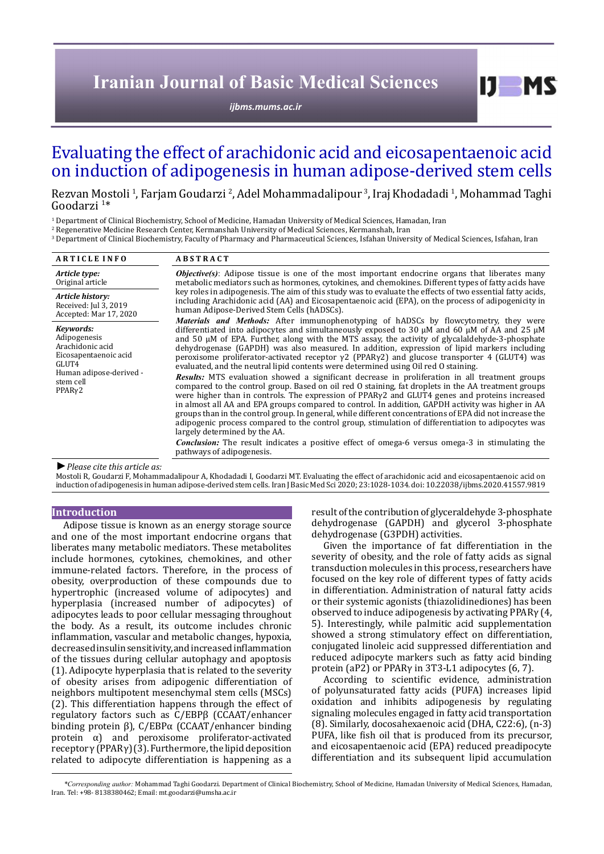# **Iranian Journal of Basic Medical Sciences**

*[ijbms.mums.ac.ir](http://ijbms.mums.ac.ir)*

# Evaluating the effect of arachidonic acid and eicosapentaenoic acid on induction of adipogenesis in human adipose-derived stem cells

Rezvan Mostoli <sup>1</sup>, Farjam Goudarzi <sup>2</sup>, Adel Mohammadalipour <sup>3</sup>, Iraj Khodadadi <sup>1</sup>, Mohammad Taghi Goodarzi <sup>1</sup>\*

1 Department of Clinical Biochemistry, School of Medicine, Hamadan University of Medical Sciences, Hamadan, Iran

2 Regenerative Medicine Research Center, Kermanshah University of Medical Sciences, Kermanshah, Iran

 $\,^3$  Department of Clinical Biochemistry, Faculty of Pharmac $\,$  and Pharmaceutical Sciences, Isfahan  $\,$  Department of Medical Sciences, Isfahan, Iran  $\,$ 

| <b>ARTICLE INFO</b>                                                                                                               | <b>ABSTRACT</b>                                                                                                                                                                                                                                                                                                                                                                                                                                                                                                                                                                                                                                                                                                                                                                                                                                                                                                                                                                                                                                                                                                                                                                                                                                                                                                                                                                                                                        |  |  |  |
|-----------------------------------------------------------------------------------------------------------------------------------|----------------------------------------------------------------------------------------------------------------------------------------------------------------------------------------------------------------------------------------------------------------------------------------------------------------------------------------------------------------------------------------------------------------------------------------------------------------------------------------------------------------------------------------------------------------------------------------------------------------------------------------------------------------------------------------------------------------------------------------------------------------------------------------------------------------------------------------------------------------------------------------------------------------------------------------------------------------------------------------------------------------------------------------------------------------------------------------------------------------------------------------------------------------------------------------------------------------------------------------------------------------------------------------------------------------------------------------------------------------------------------------------------------------------------------------|--|--|--|
| Article type:<br>Original article                                                                                                 | <b><i>Objective(s)</i></b> : Adipose tissue is one of the most important endocrine organs that liberates many<br>metabolic mediators such as hormones, cytokines, and chemokines. Different types of fatty acids have<br>key roles in adipogenesis. The aim of this study was to evaluate the effects of two essential fatty acids,<br>including Arachidonic acid (AA) and Eicosapentaenoic acid (EPA), on the process of adipogenicity in<br>human Adipose-Derived Stem Cells (hADSCs).                                                                                                                                                                                                                                                                                                                                                                                                                                                                                                                                                                                                                                                                                                                                                                                                                                                                                                                                               |  |  |  |
| Article history:<br>Received: Jul 3, 2019<br>Accepted: Mar 17, 2020                                                               |                                                                                                                                                                                                                                                                                                                                                                                                                                                                                                                                                                                                                                                                                                                                                                                                                                                                                                                                                                                                                                                                                                                                                                                                                                                                                                                                                                                                                                        |  |  |  |
| Kevwords:<br>Adipogenesis<br>Arachidonic acid<br>Eicosapentaenoic acid<br>GLUT4<br>Human adipose-derived -<br>stem cell<br>PPARy2 | Materials and Methods: After immunophenotyping of hADSCs by flowcytometry, they were<br>differentiated into adipocytes and simultaneously exposed to 30 $\mu$ M and 60 $\mu$ M of AA and 25 $\mu$ M<br>and 50 µM of EPA. Further, along with the MTS assay, the activity of glycalaldehyde-3-phosphate<br>dehydrogenase (GAPDH) was also measured. In addition, expression of lipid markers including<br>peroxisome proliferator-activated receptor $\gamma$ 2 (PPAR $\gamma$ 2) and glucose transporter 4 (GLUT4) was<br>evaluated, and the neutral lipid contents were determined using Oil red O staining.<br><b>Results:</b> MTS evaluation showed a significant decrease in proliferation in all treatment groups<br>compared to the control group. Based on oil red O staining, fat droplets in the AA treatment groups<br>were higher than in controls. The expression of $PPAR\gamma2$ and $GLUT4$ genes and proteins increased<br>in almost all AA and EPA groups compared to control. In addition, GAPDH activity was higher in AA<br>groups than in the control group. In general, while different concentrations of EPA did not increase the<br>adipogenic process compared to the control group, stimulation of differentiation to adipocytes was<br>largely determined by the AA.<br><b>Conclusion:</b> The result indicates a positive effect of omega-6 versus omega-3 in stimulating the<br>pathways of adipogenesis. |  |  |  |

## *►Please cite this article as:*

Mostoli R, Goudarzi F, Mohammadalipour A, Khodadadi I, Goodarzi MT. Evaluating the effect of arachidonic acid and eicosapentaenoic acid on induction of adipogenesis in human adipose-derived stem cells. Iran J Basic Med Sci 2020; 23:1028-1034. doi: 10.22038/ijbms.2020.41557.9819

### **Introduction**

Adipose tissue is known as an energy storage source and one of the most important endocrine organs that liberates many metabolic mediators. These metabolites include hormones, cytokines, chemokines, and other immune-related factors. Therefore, in the process of obesity, overproduction of these compounds due to hypertrophic (increased volume of adipocytes) and hyperplasia (increased number of adipocytes) of adipocytes leads to poor cellular messaging throughout the body. As a result, its outcome includes chronic inflammation, vascular and metabolic changes, hypoxia, decreased insulin sensitivity, and increased inflammation of the tissues during cellular autophagy and apoptosis (1). Adipocyte hyperplasia that is related to the severity of obesity arises from adipogenic differentiation of neighbors multipotent mesenchymal stem cells (MSCs) (2). This differentiation happens through the effect of regulatory factors such as C/EBPβ (CCAAT/enhancer binding protein β), C/EBPα (CCAAT/enhancer binding protein α) and peroxisome proliferator-activated receptor γ (PPARγ) (3). Furthermore, the lipid deposition related to adipocyte differentiation is happening as a

result of the contribution of glyceraldehyde 3-phosphate dehydrogenase (GAPDH) and glycerol 3-phosphate dehydrogenase (G3PDH) activities.

 $I$   $I$   $M$   $S$ 

Given the importance of fat differentiation in the severity of obesity, and the role of fatty acids as signal transduction molecules in this process, researchers have focused on the key role of different types of fatty acids in differentiation. Administration of natural fatty acids or their systemic agonists (thiazolidinediones) has been observed to induce adipogenesis by activating PPARγ (4, 5). Interestingly, while palmitic acid supplementation showed a strong stimulatory effect on differentiation, conjugated linoleic acid suppressed differentiation and reduced adipocyte markers such as fatty acid binding protein (aP2) or PPARγ in 3T3-L1 adipocytes (6, 7).

According to scientific evidence, administration of polyunsaturated fatty acids (PUFA) increases lipid oxidation and inhibits adipogenesis by regulating signaling molecules engaged in fatty acid transportation (8). Similarly, docosahexaenoic acid (DHA, C22:6), (n-3) PUFA, like fish oil that is produced from its precursor, and eicosapentaenoic acid (EPA) reduced preadipocyte differentiation and its subsequent lipid accumulation

*\*Corresponding author:* Mohammad Taghi Goodarzi. Department of Clinical Biochemistry, School of Medicine, Hamadan University of Medical Sciences, Hamadan, Iran. Tel: +98- 8138380462; Email: mt.goodarzi@umsha.ac.ir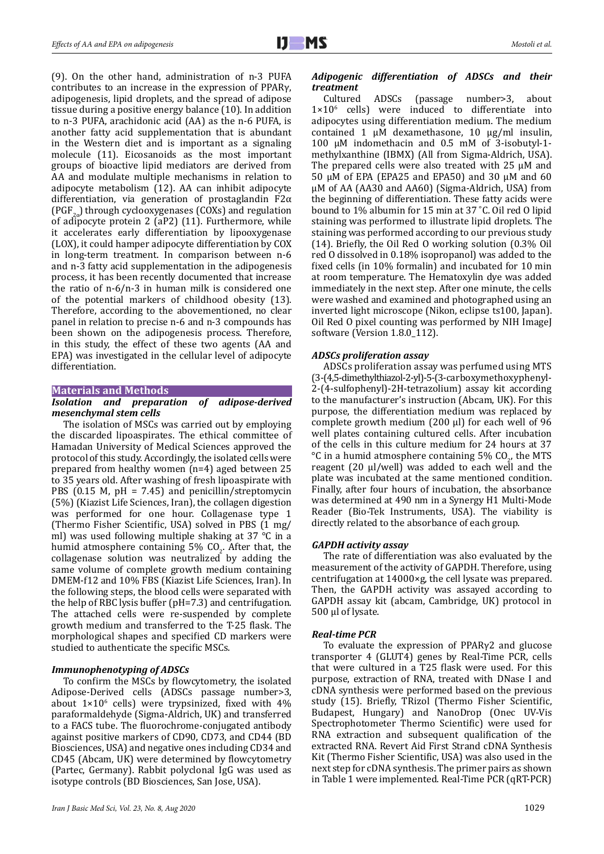(9). On the other hand, administration of n-3 PUFA contributes to an increase in the expression of PPARγ, adipogenesis, lipid droplets, and the spread of adipose tissue during a positive energy balance (10). In addition to n-3 PUFA, arachidonic acid (AA) as the n-6 PUFA, is another fatty acid supplementation that is abundant in the Western diet and is important as a signaling molecule (11). Eicosanoids as the most important groups of bioactive lipid mediators are derived from AA and modulate multiple mechanisms in relation to adipocyte metabolism (12). AA can inhibit adipocyte differentiation, via generation of prostaglandin F2α (PGF<sub>2a</sub>) through cyclooxygenases (COXs) and regulation of adipocyte protein 2 (aP2) (11). Furthermore, while it accelerates early differentiation by lipooxygenase (LOX), it could hamper adipocyte differentiation by COX in long-term treatment. In comparison between n-6 and n-3 fatty acid supplementation in the adipogenesis process, it has been recently documented that increase the ratio of n-6/n-3 in human milk is considered one of the potential markers of childhood obesity (13). Therefore, according to the abovementioned, no clear panel in relation to precise n-6 and n-3 compounds has been shown on the adipogenesis process. Therefore, in this study, the effect of these two agents (AA and EPA) was investigated in the cellular level of adipocyte differentiation.

## **Materials and Methods**

## *Isolation and preparation of adipose-derived mesenchymal stem cells*

The isolation of MSCs was carried out by employing the discarded lipoaspirates. The ethical committee of Hamadan University of Medical Sciences approved the protocol of this study. Accordingly, the isolated cells were prepared from healthy women (n=4) aged between 25 to 35 years old. After washing of fresh lipoaspirate with PBS (0.15 M,  $pH = 7.45$ ) and penicillin/streptomycin (5%) (Kiazist Life Sciences, Iran), the collagen digestion was performed for one hour. Collagenase type 1 (Thermo Fisher Scientific, USA) solved in PBS (1 mg/ ml) was used following multiple shaking at 37 °C in a humid atmosphere containing  $5\%$  CO<sub>2</sub>. After that, the collagenase solution was neutralized by adding the same volume of complete growth medium containing DMEM-f12 and 10% FBS (Kiazist Life Sciences, Iran). In the following steps, the blood cells were separated with the help of RBC lysis buffer (pH=7.3) and centrifugation. The attached cells were re-suspended by complete growth medium and transferred to the T-25 flask. The morphological shapes and specified CD markers were studied to authenticate the specific MSCs.

# *Immunophenotyping of ADSCs*

To confirm the MSCs by flowcytometry, the isolated Adipose-Derived cells (ADSCs passage number>3, about  $1\times10^6$  cells) were trypsinized, fixed with  $4\%$ paraformaldehyde (Sigma-Aldrich, UK) and transferred to a FACS tube. The fluorochrome-conjugated antibody against positive markers of CD90, CD73, and CD44 (BD Biosciences, USA) and negative ones including CD34 and CD45 (Abcam, UK) were determined by flowcytometry (Partec, Germany). Rabbit polyclonal IgG was used as isotype controls (BD Biosciences, San Jose, USA).

# *Adipogenic differentiation of ADSCs and their treatment*

Cultured ADSCs (passage number>3, about  $1\times10^6$  cells) were induced to differentiate into adipocytes using differentiation medium. The medium contained 1 µM dexamethasone, 10 µg/ml insulin, 100 µM indomethacin and 0.5 mM of 3-isobutyl-1 methylxanthine (IBMX) (All from Sigma-Aldrich, USA). The prepared cells were also treated with 25 µM and 50  $\mu$ M of EPA (EPA25 and EPA50) and 30  $\mu$ M and 60 µM of AA (AA30 and AA60) (Sigma-Aldrich, USA) from the beginning of differentiation. These fatty acids were bound to 1% albumin for 15 min at 37 ˚C. Oil red O lipid staining was performed to illustrate lipid droplets. The staining was performed according to our previous study (14). Briefly, the Oil Red O working solution (0.3% Oil red O dissolved in 0.18% isopropanol) was added to the fixed cells (in 10% formalin) and incubated for 10 min at room temperature. The Hematoxylin dye was added immediately in the next step. After one minute, the cells were washed and examined and photographed using an inverted light microscope (Nikon, eclipse ts100, Japan). Oil Red O pixel counting was performed by NIH ImageJ software (Version 1.8.0\_112).

#### *ADSCs proliferation assay*

ADSCs proliferation assay was perfumed using MTS (3-(4,5-dimethylthiazol-2-yl)-5-(3-carboxymethoxyphenyl-2-(4-sulfophenyl)-2H-tetrazolium) assay kit according to the manufacturer's instruction (Abcam, UK). For this purpose, the differentiation medium was replaced by complete growth medium  $(200 \mu l)$  for each well of 96 well plates containing cultured cells. After incubation of the cells in this culture medium for 24 hours at 37 °C in a humid atmosphere containing 5% CO<sub>2</sub>, the MTS reagent (20 μl/well) was added to each well and the plate was incubated at the same mentioned condition. Finally, after four hours of incubation, the absorbance was determined at 490 nm in a Synergy H1 Multi-Mode Reader (Bio-Tek Instruments, USA). The viability is directly related to the absorbance of each group.

#### *GAPDH activity assay*

The rate of differentiation was also evaluated by the measurement of the activity of GAPDH. Therefore, using centrifugation at 14000×g, the cell lysate was prepared. Then, the GAPDH activity was assayed according to GAPDH assay kit (abcam, Cambridge, UK) protocol in 500 µl of lysate.

# *Real-time PCR*

To evaluate the expression of PPARγ2 and glucose transporter 4 (GLUT4) genes by Real-Time PCR, cells that were cultured in a T25 flask were used. For this purpose, extraction of RNA, treated with DNase I and cDNA synthesis were performed based on the previous study (15). Briefly, TRizol (Thermo Fisher Scientific, Budapest, Hungary) and NanoDrop (Onec UV-Vis Spectrophotometer [Thermo Scientific\)](http://corporate.thermofisher.com/en/about-us/thermo-scientific.html) were used for RNA extraction and subsequent qualification of the extracted RNA. Revert Aid First Strand cDNA Synthesis Kit (Thermo Fisher Scientific, USA) was also used in the next step for cDNA synthesis. The primer pairs as shown in Table 1 were implemented. Real-Time PCR (qRT-PCR)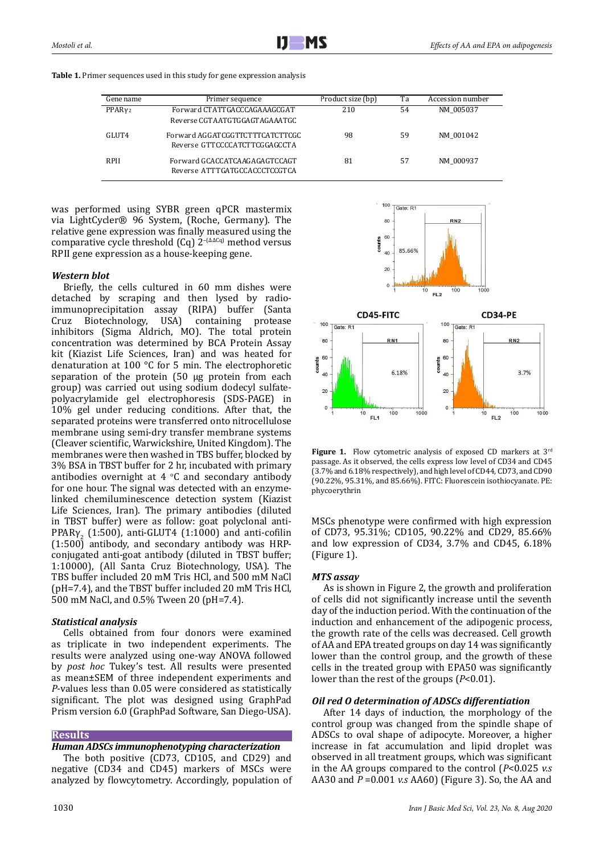| Gene name          | Primer sequence                 | Product size (bp) | Ta | Accession number |
|--------------------|---------------------------------|-------------------|----|------------------|
| PPARv <sub>2</sub> | Forward CTATTGACCCAGAAAGCGAT    | 210               | 54 | NM 005037        |
|                    | Reverse CGTAATGTGGAGTAGAAATGC   |                   |    |                  |
| GLUT4              | Forward AGGATCGGTTCTTTCATCTTCGC | 98                | 59 | NM 001042        |
|                    | Reverse GTTCCCCATCTTCGGAGCCTA   |                   |    |                  |
| <b>RPII</b>        | Forward GCACCATCAAGAGAGTCCAGT   | 81                | 57 | NM 000937        |
|                    | Reverse ATTTGATGCCACCCTCCGTCA   |                   |    |                  |

**Table 1.** Primer sequences used in this study for gene expression analysis

was performed using SYBR green qPCR mastermix via LightCycler® 96 System, (Roche, Germany). The relative gene expression was finally measured using the comparative cycle threshold (Cq) 2<sup>-(∆∆Cq)</sup> method versus RPII gene expression as a house-keeping gene.

# *Western blot*

Briefly, the cells cultured in 60 mm dishes were detached by scraping and then lysed by radioimmunoprecipitation assay (RIPA) buffer (Santa Biotechnology, inhibitors (Sigma Aldrich, MO). The total protein concentration was determined by BCA Protein Assay kit (Kiazist Life Sciences, Iran) and was heated for denaturation at 100 °C for 5 min. The electrophoretic separation of the protein (50 µg protein from each group) was carried out using sodium dodecyl sulfatepolyacrylamide gel electrophoresis (SDS-PAGE) in 10% gel under reducing conditions. After that, the separated proteins were transferred onto nitrocellulose membrane using semi-dry transfer membrane systems (Cleaver scientific, Warwickshire, United Kingdom). The membranes were then washed in TBS buffer, blocked by 3% BSA in TBST buffer for 2 hr, incubated with primary antibodies overnight at  $4 \degree C$  and secondary antibody for one hour. The signal was detected with an enzymelinked chemiluminescence detection system (Kiazist Life Sciences, Iran). The primary antibodies (diluted in TBST buffer) were as follow: goat polyclonal anti-PPAR $\gamma_2$  (1:500), anti-GLUT4 (1:1000) and anti-cofilin (1:500) antibody, and secondary antibody was HRPconjugated anti-goat antibody (diluted in TBST buffer; 1:10000), (All Santa Cruz Biotechnology, USA). The TBS buffer included 20 mM Tris HCl, and 500 mM NaCl (pH=7.4), and the TBST buffer included 20 mM Tris HCl, 500 mM NaCl, and 0.5% Tween 20 (pH=7.4).

# *Statistical analysis*

Cells obtained from four donors were examined as triplicate in two independent experiments. The results were analyzed using one-way ANOVA followed by *post hoc* Tukey's test. All results were presented as mean±SEM of three independent experiments and *P*-values less than 0.05 were considered as statistically significant. The plot was designed using GraphPad Prism version 6.0 (GraphPad Software, San Diego-USA).

# **Results**

# *Human ADSCs immunophenotyping characterization*

The both positive (CD73, CD105, and CD29) and negative (CD34 and CD45) markers of MSCs were analyzed by flowcytometry. Accordingly, population of



100

te:  $R<sup>1</sup>$ 

Figure 1. Flow cytometric analysis of exposed CD markers at 3<sup>rd</sup> passage. As it observed, the cells express low level of CD34 and CD45 (3.7% and 6.18% respectively), and high level of CD44, CD73, and CD90 (90.22%, 95.31%, and 85.66%). FITC: Fluorescein isothiocyanate. PE: phycoerythrin

MSCs phenotype were confirmed with high expression of CD73, 95.31%; CD105, 90.22% and CD29, 85.66% and low expression of CD34, 3.7% and CD45, 6.18% (Figure 1).

# *MTS assay*

As is shown in Figure 2, the growth and proliferation of cells did not significantly increase until the seventh day of the induction period. With the continuation of the induction and enhancement of the adipogenic process, the growth rate of the cells was decreased. Cell growth of AA and EPA treated groups on day 14 was significantly lower than the control group, and the growth of these cells in the treated group with EPA50 was significantly lower than the rest of the groups (*P*<0.01).

# *Oil red O determination of ADSCs differentiation*

After 14 days of induction, the morphology of the control group was changed from the spindle shape of ADSCs to oval shape of adipocyte. Moreover, a higher increase in fat accumulation and lipid droplet was observed in all treatment groups, which was significant in the AA groups compared to the control (*P*<0.025 *v.s* AA30 and *P* =0.001 *v.s* AA60) (Figure 3). So, the AA and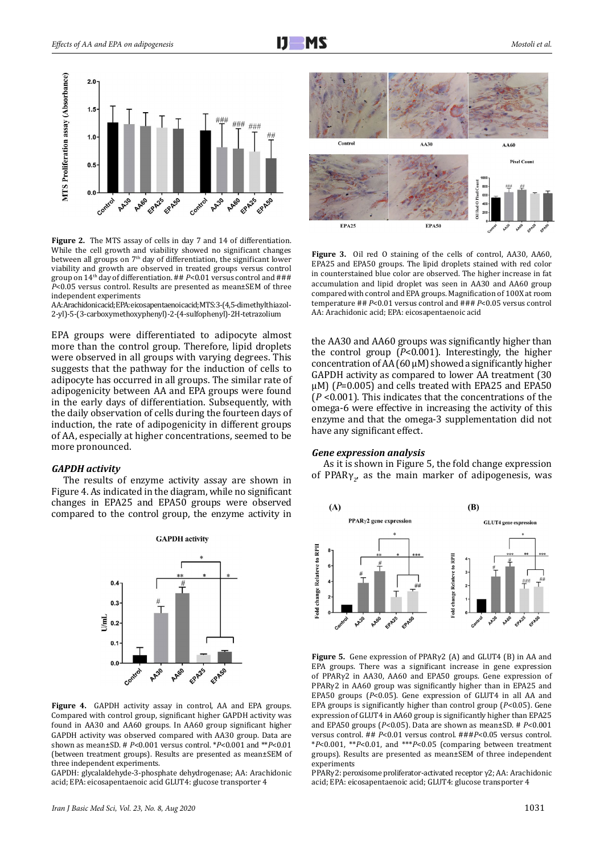

**Figure 2.** The MTS assay of cells in day 7 and 14 of differentiation. While the cell growth and viability showed no significant changes between all groups on 7<sup>th</sup> day of differentiation, the significant lower viability and growth are observed in treated groups versus control group on 14th day of differentiation. ## *P*<0.01 versus control and ### *P*<0.05 versus control. Results are presented as mean±SEM of three independent experiments

AA: Arachidonic acid; EPA: eicosapentaenoic acid; MTS: 3-(4,5-dimethylthiazol-2-yl)-5-(3-carboxymethoxyphenyl)-2-(4-sulfophenyl)-2H-tetrazolium

EPA groups were differentiated to adipocyte almost more than the control group. Therefore, lipid droplets were observed in all groups with varying degrees. This suggests that the pathway for the induction of cells to adipocyte has occurred in all groups. The similar rate of adipogenicity between AA and EPA groups were found in the early days of differentiation. Subsequently, with the daily observation of cells during the fourteen days of induction, the rate of adipogenicity in different groups of AA, especially at higher concentrations, seemed to be more pronounced.

#### *GAPDH activity*

The results of enzyme activity assay are shown in Figure 4. As indicated in the diagram, while no significant changes in EPA25 and EPA50 groups were observed compared to the control group, the enzyme activity in



**Figure 4.** GAPDH activity assay in control, AA and EPA groups. Compared with control group, significant higher GAPDH activity was found in AA30 and AA60 groups. In AA60 group significant higher GAPDH activity was observed compared with AA30 group. Data are shown as mean±SD. # *P*<0.001 versus control. \**P*<0.001 and \*\**P*<0.01 (between treatment groups). Results are presented as mean±SEM of three independent experiments.

GAPDH: glycalaldehyde-3-phosphate dehydrogenase; AA: Arachidonic acid; EPA: eicosapentaenoic acid GLUT4: glucose transporter 4



**Figure 3.** Oil red O staining of the cells of control, AA30, AA60, EPA25 and EPA50 groups. The lipid droplets stained with red color in counterstained blue color are observed. The higher increase in fat accumulation and lipid droplet was seen in AA30 and AA60 group compared with control and EPA groups. Magnification of 100X at room temperature ## *P*<0.01 versus control and ### *P*<0.05 versus control AA: Arachidonic acid; EPA: eicosapentaenoic acid

the AA30 and AA60 groups was significantly higher than the control group (*P*<0.001). Interestingly, the higher concentration of AA  $(60 \mu M)$  showed a significantly higher GAPDH activity as compared to lower AA treatment (30 µM) (*P*=0.005) and cells treated with EPA25 and EPA50 (*P* <0.001). This indicates that the concentrations of the omega-6 were effective in increasing the activity of this enzyme and that the omega-3 supplementation did not have any significant effect.

### *Gene expression analysis*

As it is shown in Figure 5, the fold change expression of PPAR $\gamma_{2'}$  as the main marker of adipogenesis, was



**Figure 5.** Gene expression of PPARγ2 (A) and GLUT4 (B) in AA and EPA groups. There was a significant increase in gene expression of PPARγ2 in AA30, AA60 and EPA50 groups. Gene expression of PPARγ2 in AA60 group was significantly higher than in EPA25 and EPA50 groups (*P*<0.05). Gene expression of GLUT4 in all AA and EPA groups is significantly higher than control group (*P*<0.05). Gene expression of GLUT4 in AA60 group is significantly higher than EPA25 and EPA50 groups (*P*<0.05). Data are shown as mean±SD. # *P*<0.001 versus control. ## *P*<0.01 versus control. ###*P*<0.05 versus control. \**P*<0.001, \*\**P*<0.01, and \*\*\**P*<0.05 (comparing between treatment groups). Results are presented as mean±SEM of three independent experiments

PPARγ2: peroxisome proliferator-activated receptor γ2; AA: Arachidonic acid; EPA: eicosapentaenoic acid; GLUT4: glucose transporter 4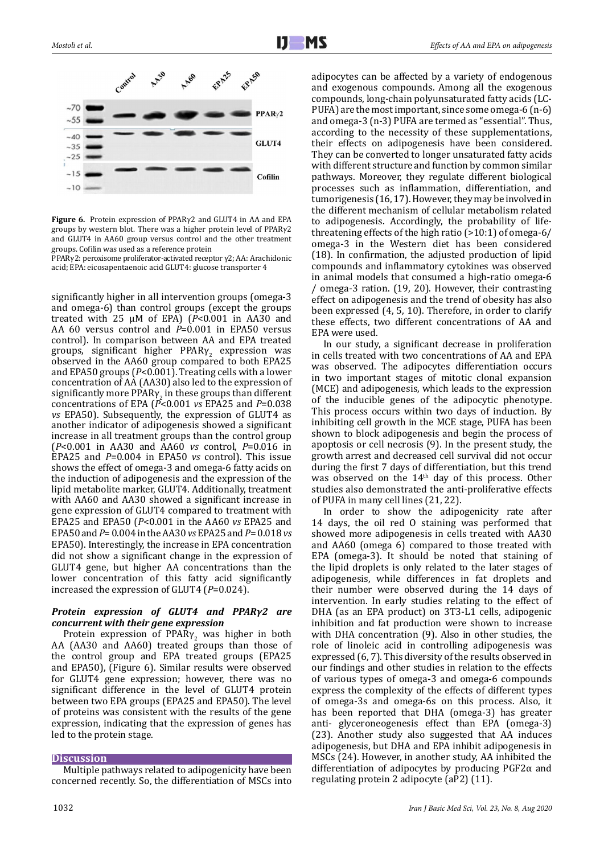

**Figure 6.** Protein expression of PPARγ2 and GLUT4 in AA and EPA groups by western blot. There was a higher protein level of PPARγ2 and GLUT4 in AA60 group versus control and the other treatment groups. Cofilin was used as a reference protein

PPARγ2: peroxisome proliferator-activated receptor γ2; AA: Arachidonic acid; EPA: eicosapentaenoic acid GLUT4: glucose transporter 4

significantly higher in all intervention groups (omega-3 and omega-6) than control groups (except the groups treated with 25 µM of EPA) (*P*<0.001 in AA30 and AA 60 versus control and *P*=0.001 in EPA50 versus control). In comparison between AA and EPA treated groups, significant higher  $PPARY<sub>2</sub>$  expression was observed in the AA60 group compared to both EPA25 and EPA50 groups (*P*<0.001). Treating cells with a lower concentration of AA (AA30) also led to the expression of significantly more PPAR $\gamma$  in these groups than different concentrations of EPA (*P*<0.001 *vs* EPA25 and *P*=0.038 *vs* EPA50). Subsequently, the expression of GLUT4 as another indicator of adipogenesis showed a significant increase in all treatment groups than the control group (*P*<0.001 in AA30 and AA60 *vs* control, *P*=0.016 in EPA25 and *P*=0.004 in EPA50 *vs* control). This issue shows the effect of omega-3 and omega-6 fatty acids on the induction of adipogenesis and the expression of the lipid metabolite marker, GLUT4. Additionally, treatment with AA60 and AA30 showed a significant increase in gene expression of GLUT4 compared to treatment with EPA25 and EPA50 (*P*<0.001 in the AA60 *vs* EPA25 and EPA50 and *P*= 0.004 in the AA30 *vs* EPA25 and *P*= 0.018 *vs* EPA50). Interestingly, the increase in EPA concentration did not show a significant change in the expression of GLUT4 gene, but higher AA concentrations than the lower concentration of this fatty acid significantly increased the expression of GLUT4 (*P*=0.024).

# *Protein expression of GLUT4 and PPARγ2 are concurrent with their gene expression*

Protein expression of PPAR<sub>Y</sub><sub>2</sub> was higher in both AA (AA30 and AA60) treated groups than those of the control group and EPA treated groups (EPA25 and EPA50), (Figure 6). Similar results were observed for GLUT4 gene expression; however, there was no significant difference in the level of GLUT4 protein between two EPA groups (EPA25 and EPA50). The level of proteins was consistent with the results of the gene expression, indicating that the expression of genes has led to the protein stage.

# **Discussion**

Multiple pathways related to adipogenicity have been concerned recently. So, the differentiation of MSCs into

adipocytes can be affected by a variety of endogenous and exogenous compounds. Among all the exogenous compounds, long-chain polyunsaturated fatty acids (LC-PUFA) are the most important, since some omega-6 (n-6) and omega-3 (n-3) PUFA are termed as "essential". Thus, according to the necessity of these supplementations, their effects on adipogenesis have been considered. They can be converted to longer unsaturated fatty acids with different structure and function by common similar pathways. Moreover, they regulate different biological processes such as inflammation, differentiation, and tumorigenesis (16, 17). However, they may be involved in the different mechanism of cellular metabolism related to adipogenesis. Accordingly, the probability of lifethreatening effects of the high ratio (>10:1) of omega-6/ omega-3 in the Western diet has been considered (18). In confirmation, the adjusted production of lipid compounds and inflammatory cytokines was observed in animal models that consumed a high-ratio omega-6 / omega-3 ration. (19, 20). However, their contrasting effect on adipogenesis and the trend of obesity has also been expressed (4, 5, 10). Therefore, in order to clarify these effects, two different concentrations of AA and EPA were used.

In our study, a significant decrease in proliferation in cells treated with two concentrations of AA and EPA was observed. The adipocytes differentiation occurs in two important stages of mitotic clonal expansion (MCE) and adipogenesis, which leads to the expression of the inducible genes of the adipocytic phenotype. This process occurs within two days of induction. By inhibiting cell growth in the MCE stage, PUFA has been shown to block adipogenesis and begin the process of apoptosis or cell necrosis (9). In the present study, the growth arrest and decreased cell survival did not occur during the first 7 days of differentiation, but this trend was observed on the  $14<sup>th</sup>$  day of this process. Other studies also demonstrated the anti-proliferative effects of PUFA in many cell lines (21, 22).

In order to show the adipogenicity rate after 14 days, the oil red O staining was performed that showed more adipogenesis in cells treated with AA30 and AA60 (omega 6) compared to those treated with EPA (omega-3). It should be noted that staining of the lipid droplets is only related to the later stages of adipogenesis, while differences in fat droplets and their number were observed during the 14 days of intervention. In early studies relating to the effect of DHA (as an EPA product) on 3T3-L1 cells, adipogenic inhibition and fat production were shown to increase with DHA concentration (9). Also in other studies, the role of linoleic acid in controlling adipogenesis was expressed (6, 7). This diversity of the results observed in our findings and other studies in relation to the effects of various types of omega-3 and omega-6 compounds express the complexity of the effects of different types of omega-3s and omega-6s on this process. Also, it has been reported that DHA (omega-3) has greater anti- glyceroneogenesis effect than EPA (omega-3) (23). Another study also suggested that AA induces adipogenesis, but DHA and EPA inhibit adipogenesis in MSCs (24). However, in another study, AA inhibited the differentiation of adipocytes by producing PGF2α and regulating protein 2 adipocyte (aP2) (11).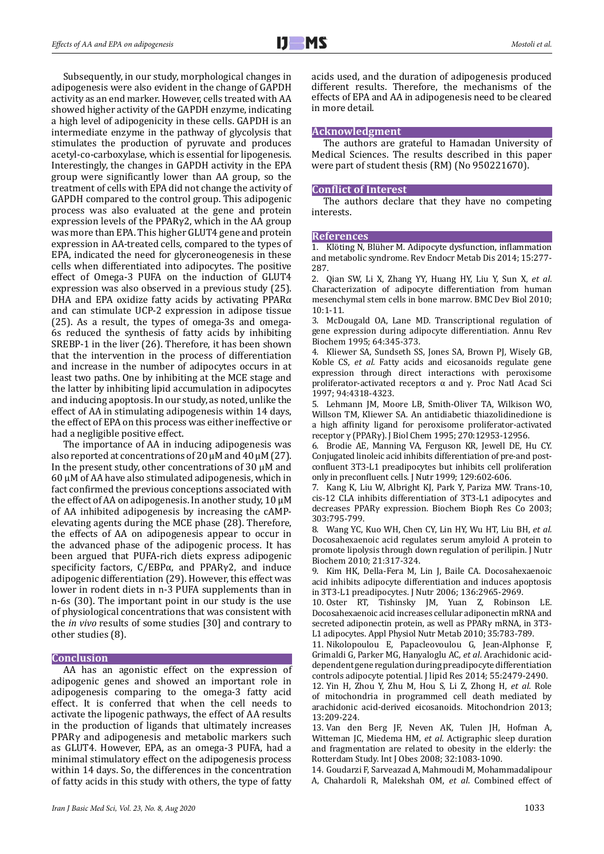Subsequently, in our study, morphological changes in adipogenesis were also evident in the change of GAPDH activity as an end marker. However, cells treated with AA showed higher activity of the GAPDH enzyme, indicating a high level of adipogenicity in these cells. GAPDH is an intermediate enzyme in the pathway of glycolysis that stimulates the production of pyruvate and produces acetyl-co-carboxylase, which is essential for lipogenesis. Interestingly, the changes in GAPDH activity in the EPA group were significantly lower than AA group, so the treatment of cells with EPA did not change the activity of GAPDH compared to the control group. This adipogenic process was also evaluated at the gene and protein expression levels of the PPARγ2, which in the AA group was more than EPA. This higher GLUT4 gene and protein expression in AA-treated cells, compared to the types of EPA, indicated the need for glyceroneogenesis in these cells when differentiated into adipocytes. The positive effect of Omega-3 PUFA on the induction of GLUT4 expression was also observed in a previous study (25). DHA and EPA oxidize fatty acids by activating PPARα and can stimulate UCP-2 expression in adipose tissue (25). As a result, the types of omega-3s and omega-6s reduced the synthesis of fatty acids by inhibiting SREBP-1 in the liver (26). Therefore, it has been shown that the intervention in the process of differentiation and increase in the number of adipocytes occurs in at least two paths. One by inhibiting at the MCE stage and the latter by inhibiting lipid accumulation in adipocytes and inducing apoptosis. In our study, as noted, unlike the effect of AA in stimulating adipogenesis within 14 days, the effect of EPA on this process was either ineffective or had a negligible positive effect.

The importance of AA in inducing adipogenesis was also reported at concentrations of 20  $\mu$ M and 40  $\mu$ M (27). In the present study, other concentrations of 30 µM and 60 µM of AA have also stimulated adipogenesis, which in fact confirmed the previous conceptions associated with the effect of AA on adipogenesis. In another study, 10 µM of AA inhibited adipogenesis by increasing the cAMPelevating agents during the MCE phase (28). Therefore, the effects of AA on adipogenesis appear to occur in the advanced phase of the adipogenic process. It has been argued that PUFA-rich diets express adipogenic specificity factors, C/EBPα, and PPARγ2, and induce adipogenic differentiation (29). However, this effect was lower in rodent diets in n-3 PUFA supplements than in n-6s (30). The important point in our study is the use of physiological concentrations that was consistent with the *in vivo* results of some studies [30] and contrary to other studies (8).

## **Conclusion**

AA has an agonistic effect on the expression of adipogenic genes and showed an important role in adipogenesis comparing to the omega-3 fatty acid effect. It is conferred that when the cell needs to activate the lipogenic pathways, the effect of AA results in the production of ligands that ultimately increases PPARγ and adipogenesis and metabolic markers such as GLUT4. However, EPA, as an omega-3 PUFA, had a minimal stimulatory effect on the adipogenesis process within 14 days. So, the differences in the concentration of fatty acids in this study with others, the type of fatty acids used, and the duration of adipogenesis produced different results. Therefore, the mechanisms of the effects of EPA and AA in adipogenesis need to be cleared in more detail.

#### **Acknowledgment**

The authors are grateful to Hamadan University of Medical Sciences. The results described in this paper were part of student thesis (RM) (No 950221670).

#### **Conflict of Interest**

The authors declare that they have no competing interests.

## **References**

1. Klöting N, Blüher M. Adipocyte dysfunction, inflammation and metabolic syndrome. Rev Endocr Metab Dis 2014; 15:277- 287.

2. Qian SW, Li X, Zhang YY, Huang HY, Liu Y, Sun X, *et al*. Characterization of adipocyte differentiation from human mesenchymal stem cells in bone marrow. BMC Dev Biol 2010; 10:1-11.

3. McDougald OA, Lane MD. Transcriptional regulation of gene expression during adipocyte differentiation. Annu Rev Biochem 1995; 64:345-373.

4. Kliewer SA, Sundseth SS, Jones SA, Brown PJ, Wisely GB, Koble CS, *et al.* Fatty acids and eicosanoids regulate gene expression through direct interactions with peroxisome proliferator-activated receptors α and γ. Proc Natl Acad Sci 1997; 94:4318-4323.

5. Lehmann JM, Moore LB, Smith-Oliver TA, Wilkison WO, Willson TM, Kliewer SA. An antidiabetic thiazolidinedione is a high affinity ligand for peroxisome proliferator-activated receptor γ (PPARγ). J Biol Chem 1995; 270:12953-12956.

6. Brodie AE, Manning VA, Ferguson KR, Jewell DE, Hu CY. Conjugated linoleic acid inhibits differentiation of pre-and postconfluent 3T3-L1 preadipocytes but inhibits cell proliferation only in preconfluent cells. J Nutr 1999; 129:602-606.

7. Kang K, Liu W, Albright KJ, Park Y, Pariza MW. Trans-10, cis-12 CLA inhibits differentiation of 3T3-L1 adipocytes and decreases PPARγ expression. Biochem Bioph Res Co 2003; 303:795-799.

8. Wang YC, Kuo WH, Chen CY, Lin HY, Wu HT, Liu BH, *et al.* Docosahexaenoic acid regulates serum amyloid A protein to promote lipolysis through down regulation of perilipin. J Nutr Biochem 2010; 21:317-324.

9. Kim HK, Della-Fera M, Lin J, Baile CA. Docosahexaenoic acid inhibits adipocyte differentiation and induces apoptosis in 3T3-L1 preadipocytes. J Nutr 2006; 136:2965-2969.

10. Oster RT, Tishinsky JM, Yuan Z, Robinson LE. Docosahexaenoic acid increases cellular adiponectin mRNA and secreted adiponectin protein, as well as PPARγ mRNA, in 3T3- L1 adipocytes. Appl Physiol Nutr Metab 2010; 35:783-789.

11. Nikolopoulou E, Papacleovoulou G, Jean-Alphonse F, Grimaldi G, Parker MG, Hanyaloglu AC, *et al*. Arachidonic aciddependent gene regulation during preadipocyte differentiation controls adipocyte potential. J lipid Res 2014; 55:2479-2490.

12. Yin H, Zhou Y, Zhu M, Hou S, Li Z, Zhong H, *et al*. Role of mitochondria in programmed cell death mediated by arachidonic acid-derived eicosanoids. Mitochondrion 2013; 13:209-224.

13. Van den Berg JF, Neven AK, Tulen JH, Hofman A, Witteman JC, Miedema HM, *et al*. Actigraphic sleep duration and fragmentation are related to obesity in the elderly: the Rotterdam Study. Int J Obes 2008; 32:1083-1090.

14. Goudarzi F, Sarveazad A, Mahmoudi M, Mohammadalipour A, Chahardoli R, Malekshah OM, *et al*. Combined effect of